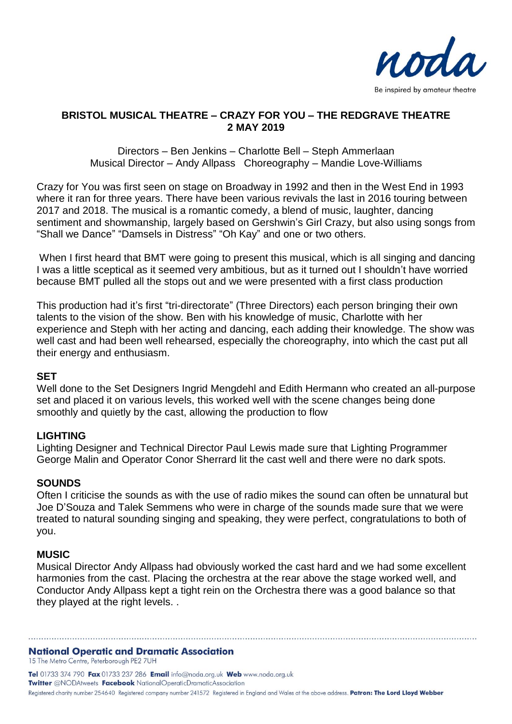

# **BRISTOL MUSICAL THEATRE – CRAZY FOR YOU – THE REDGRAVE THEATRE 2 MAY 2019**

Directors – Ben Jenkins – Charlotte Bell – Steph Ammerlaan Musical Director – Andy Allpass Choreography – Mandie Love-Williams

Crazy for You was first seen on stage on Broadway in 1992 and then in the West End in 1993 where it ran for three years. There have been various revivals the last in 2016 touring between 2017 and 2018. The musical is a romantic comedy, a blend of music, laughter, dancing sentiment and showmanship, largely based on Gershwin's Girl Crazy, but also using songs from "Shall we Dance" "Damsels in Distress" "Oh Kay" and one or two others.

When I first heard that BMT were going to present this musical, which is all singing and dancing I was a little sceptical as it seemed very ambitious, but as it turned out I shouldn't have worried because BMT pulled all the stops out and we were presented with a first class production

This production had it's first "tri-directorate" (Three Directors) each person bringing their own talents to the vision of the show. Ben with his knowledge of music, Charlotte with her experience and Steph with her acting and dancing, each adding their knowledge. The show was well cast and had been well rehearsed, especially the choreography, into which the cast put all their energy and enthusiasm.

### **SET**

Well done to the Set Designers Ingrid Mengdehl and Edith Hermann who created an all-purpose set and placed it on various levels, this worked well with the scene changes being done smoothly and quietly by the cast, allowing the production to flow

# **LIGHTING**

Lighting Designer and Technical Director Paul Lewis made sure that Lighting Programmer George Malin and Operator Conor Sherrard lit the cast well and there were no dark spots.

### **SOUNDS**

Often I criticise the sounds as with the use of radio mikes the sound can often be unnatural but Joe D'Souza and Talek Semmens who were in charge of the sounds made sure that we were treated to natural sounding singing and speaking, they were perfect, congratulations to both of you.

### **MUSIC**

Musical Director Andy Allpass had obviously worked the cast hard and we had some excellent harmonies from the cast. Placing the orchestra at the rear above the stage worked well, and Conductor Andy Allpass kept a tight rein on the Orchestra there was a good balance so that they played at the right levels. .

# **National Operatic and Dramatic Association**

15 The Metro Centre, Peterborough PE2 7UH

Tel 01733 374 790 Fax 01733 237 286 Email info@noda.org.uk Web www.noda.org.uk **Twitter** @NODAtweets Facebook NationalOperaticDramaticAssociation Registered charity number 254640 Registered company number 241572 Registered in England and Wales at the above address. Patron: The Lord Lloyd Webber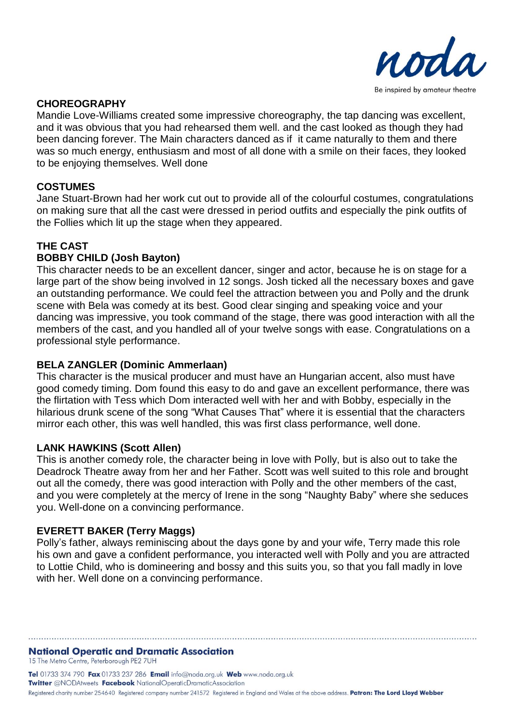

# **CHOREOGRAPHY**

Mandie Love-Williams created some impressive choreography, the tap dancing was excellent, and it was obvious that you had rehearsed them well. and the cast looked as though they had been dancing forever. The Main characters danced as if it came naturally to them and there was so much energy, enthusiasm and most of all done with a smile on their faces, they looked to be enjoying themselves. Well done

# **COSTUMES**

Jane Stuart-Brown had her work cut out to provide all of the colourful costumes, congratulations on making sure that all the cast were dressed in period outfits and especially the pink outfits of the Follies which lit up the stage when they appeared.

# **THE CAST**

# **BOBBY CHILD (Josh Bayton)**

This character needs to be an excellent dancer, singer and actor, because he is on stage for a large part of the show being involved in 12 songs. Josh ticked all the necessary boxes and gave an outstanding performance. We could feel the attraction between you and Polly and the drunk scene with Bela was comedy at its best. Good clear singing and speaking voice and your dancing was impressive, you took command of the stage, there was good interaction with all the members of the cast, and you handled all of your twelve songs with ease. Congratulations on a professional style performance.

# **BELA ZANGLER (Dominic Ammerlaan)**

This character is the musical producer and must have an Hungarian accent, also must have good comedy timing. Dom found this easy to do and gave an excellent performance, there was the flirtation with Tess which Dom interacted well with her and with Bobby, especially in the hilarious drunk scene of the song "What Causes That" where it is essential that the characters mirror each other, this was well handled, this was first class performance, well done.

# **LANK HAWKINS (Scott Allen)**

This is another comedy role, the character being in love with Polly, but is also out to take the Deadrock Theatre away from her and her Father. Scott was well suited to this role and brought out all the comedy, there was good interaction with Polly and the other members of the cast, and you were completely at the mercy of Irene in the song "Naughty Baby" where she seduces you. Well-done on a convincing performance.

# **EVERETT BAKER (Terry Maggs)**

Polly's father, always reminiscing about the days gone by and your wife, Terry made this role his own and gave a confident performance, you interacted well with Polly and you are attracted to Lottie Child, who is domineering and bossy and this suits you, so that you fall madly in love with her. Well done on a convincing performance.

#### **National Operatic and Dramatic Association** 15 The Metro Centre, Peterborough PE2 7UH

Tel 01733 374 790 Fax 01733 237 286 Email info@noda.org.uk Web www.noda.org.uk **Twitter** @NODAtweets Facebook NationalOperaticDramaticAssociation Registered charity number 254640 Registered company number 241572 Registered in England and Wales at the above address. Patron: The Lord Lloyd Webber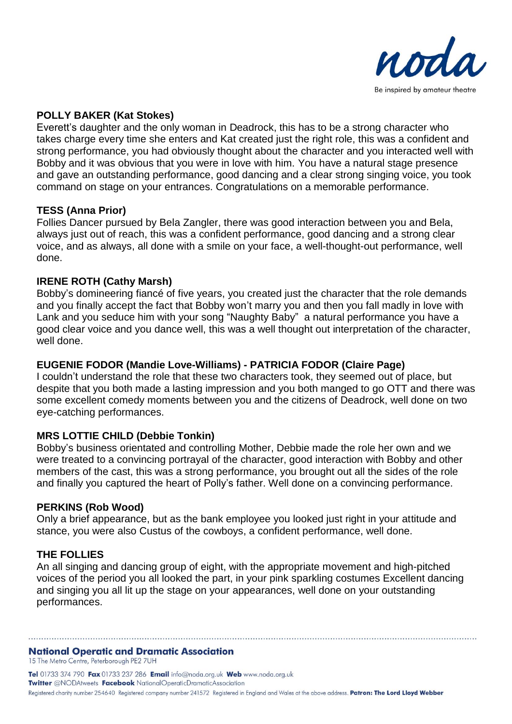

# **POLLY BAKER (Kat Stokes)**

Everett's daughter and the only woman in Deadrock, this has to be a strong character who takes charge every time she enters and Kat created just the right role, this was a confident and strong performance, you had obviously thought about the character and you interacted well with Bobby and it was obvious that you were in love with him. You have a natural stage presence and gave an outstanding performance, good dancing and a clear strong singing voice, you took command on stage on your entrances. Congratulations on a memorable performance.

### **TESS (Anna Prior)**

Follies Dancer pursued by Bela Zangler, there was good interaction between you and Bela, always just out of reach, this was a confident performance, good dancing and a strong clear voice, and as always, all done with a smile on your face, a well-thought-out performance, well done.

# **IRENE ROTH (Cathy Marsh)**

Bobby's domineering fiancé of five years, you created just the character that the role demands and you finally accept the fact that Bobby won't marry you and then you fall madly in love with Lank and you seduce him with your song "Naughty Baby" a natural performance you have a good clear voice and you dance well, this was a well thought out interpretation of the character, well done.

# **EUGENIE FODOR (Mandie Love-Williams) - PATRICIA FODOR (Claire Page)**

I couldn't understand the role that these two characters took, they seemed out of place, but despite that you both made a lasting impression and you both manged to go OTT and there was some excellent comedy moments between you and the citizens of Deadrock, well done on two eye-catching performances.

# **MRS LOTTIE CHILD (Debbie Tonkin)**

Bobby's business orientated and controlling Mother, Debbie made the role her own and we were treated to a convincing portrayal of the character, good interaction with Bobby and other members of the cast, this was a strong performance, you brought out all the sides of the role and finally you captured the heart of Polly's father. Well done on a convincing performance.

### **PERKINS (Rob Wood)**

Only a brief appearance, but as the bank employee you looked just right in your attitude and stance, you were also Custus of the cowboys, a confident performance, well done.

# **THE FOLLIES**

An all singing and dancing group of eight, with the appropriate movement and high-pitched voices of the period you all looked the part, in your pink sparkling costumes Excellent dancing and singing you all lit up the stage on your appearances, well done on your outstanding performances.

### **National Operatic and Dramatic Association**

15 The Metro Centre, Peterborough PE2 7UH

Tel 01733 374 790 Fax 01733 237 286 Email info@noda.org.uk Web www.noda.org.uk **Twitter** @NODAtweets Facebook NationalOperaticDramaticAssociation Registered charity number 254640 Registered company number 241572 Registered in England and Wales at the above address. Patron: The Lord Lloyd Webber